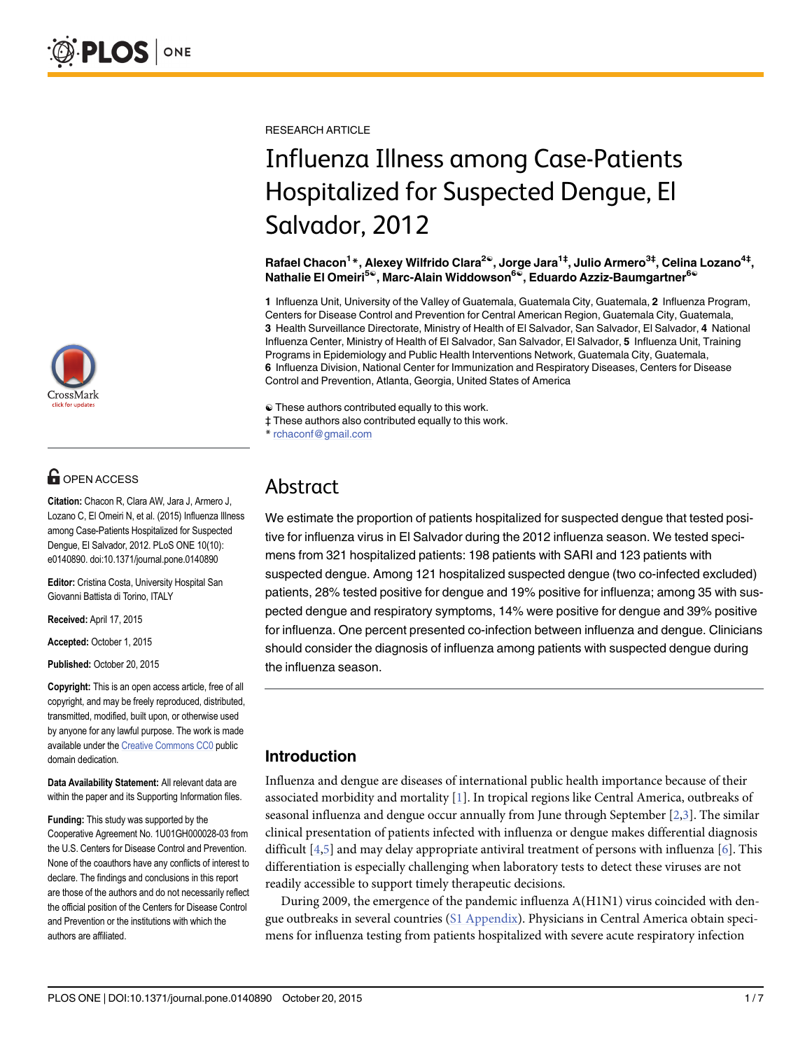

# **G** OPEN ACCESS

Citation: Chacon R, Clara AW, Jara J, Armero J, Lozano C, El Omeiri N, et al. (2015) Influenza Illness among Case-Patients Hospitalized for Suspected Dengue, El Salvador, 2012. PLoS ONE 10(10): e0140890. doi:10.1371/journal.pone.0140890

Editor: Cristina Costa, University Hospital San Giovanni Battista di Torino, ITALY

Received: April 17, 2015

Accepted: October 1, 2015

Published: October 20, 2015

Copyright: This is an open access article, free of all copyright, and may be freely reproduced, distributed, transmitted, modified, built upon, or otherwise used by anyone for any lawful purpose. The work is made available under the [Creative Commons CC0](https://creativecommons.org/publicdomain/zero/1.0/) public domain dedication.

Data Availability Statement: All relevant data are within the paper and its Supporting Information files.

Funding: This study was supported by the Cooperative Agreement No. 1U01GH000028-03 from the U.S. Centers for Disease Control and Prevention. None of the coauthors have any conflicts of interest to declare. The findings and conclusions in this report are those of the authors and do not necessarily reflect the official position of the Centers for Disease Control and Prevention or the institutions with which the authors are affiliated.

<span id="page-0-0"></span>RESEARCH ARTICLE

# Influenza Illness among Case-Patients Hospitalized for Suspected Dengue, El Salvador, 2012

Rafael Chacon<sup>1</sup>\*, Alexey Wilfrido Clara<sup>2©</sup>, Jorge Jara<sup>1‡</sup>, Julio Armero<sup>3‡</sup>, Celina Lozano<sup>4‡</sup>, Nathalie El Omeiri<sup>5©</sup>, Marc-Alain Widdowson<sup>6©</sup>, Eduardo Azziz-Baumgartner<sup>6©</sup>

1 Influenza Unit, University of the Valley of Guatemala, Guatemala City, Guatemala, 2 Influenza Program, Centers for Disease Control and Prevention for Central American Region, Guatemala City, Guatemala, 3 Health Surveillance Directorate, Ministry of Health of El Salvador, San Salvador, El Salvador, 4 National Influenza Center, Ministry of Health of El Salvador, San Salvador, El Salvador, 5 Influenza Unit, Training Programs in Epidemiology and Public Health Interventions Network, Guatemala City, Guatemala, 6 Influenza Division, National Center for Immunization and Respiratory Diseases, Centers for Disease Control and Prevention, Atlanta, Georgia, United States of America

☯ These authors contributed equally to this work.

‡ These authors also contributed equally to this work.

\* rchaconf@gmail.com

# Abstract

We estimate the proportion of patients hospitalized for suspected dengue that tested positive for influenza virus in El Salvador during the 2012 influenza season. We tested specimens from 321 hospitalized patients: 198 patients with SARI and 123 patients with suspected dengue. Among 121 hospitalized suspected dengue (two co-infected excluded) patients, 28% tested positive for dengue and 19% positive for influenza; among 35 with suspected dengue and respiratory symptoms, 14% were positive for dengue and 39% positive for influenza. One percent presented co-infection between influenza and dengue. Clinicians should consider the diagnosis of influenza among patients with suspected dengue during the influenza season.

# Introduction

Influenza and dengue are diseases of international public health importance because of their associated morbidity and mortality [\[1](#page-5-0)]. In tropical regions like Central America, outbreaks of seasonal influenza and dengue occur annually from June through September  $[2,3]$  $[2,3]$ . The similar clinical presentation of patients infected with influenza or dengue makes differential diagnosis difficult  $[4,5]$  $[4,5]$  and may delay appropriate antiviral treatment of persons with influenza  $[6]$  $[6]$  $[6]$ . This differentiation is especially challenging when laboratory tests to detect these viruses are not readily accessible to support timely therapeutic decisions.

During 2009, the emergence of the pandemic influenza A(H1N1) virus coincided with dengue outbreaks in several countries [\(S1 Appendix\)](#page-5-0). Physicians in Central America obtain specimens for influenza testing from patients hospitalized with severe acute respiratory infection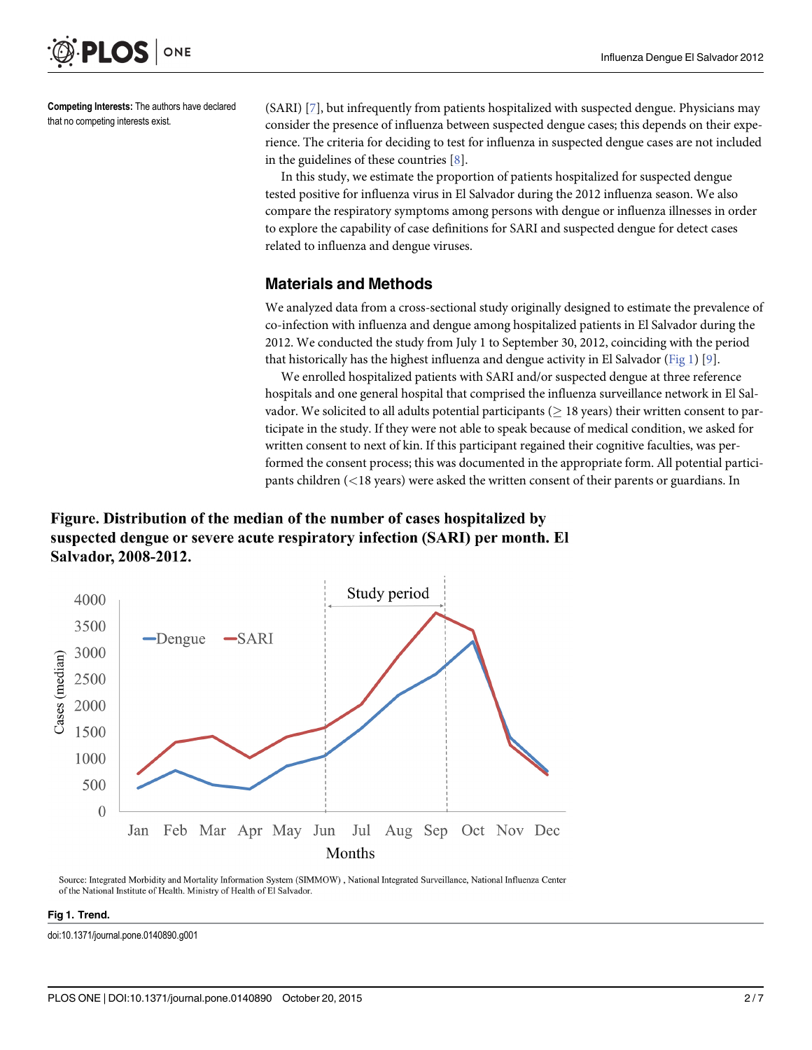<span id="page-1-0"></span>

Competing Interests: The authors have declared that no competing interests exist.

(SARI) [[7](#page-6-0)], but infrequently from patients hospitalized with suspected dengue. Physicians may consider the presence of influenza between suspected dengue cases; this depends on their experience. The criteria for deciding to test for influenza in suspected dengue cases are not included in the guidelines of these countries [\[8](#page-6-0)].

In this study, we estimate the proportion of patients hospitalized for suspected dengue tested positive for influenza virus in El Salvador during the 2012 influenza season. We also compare the respiratory symptoms among persons with dengue or influenza illnesses in order to explore the capability of case definitions for SARI and suspected dengue for detect cases related to influenza and dengue viruses.

## Materials and Methods

We analyzed data from a cross-sectional study originally designed to estimate the prevalence of co-infection with influenza and dengue among hospitalized patients in El Salvador during the 2012. We conducted the study from July 1 to September 30, 2012, coinciding with the period that historically has the highest influenza and dengue activity in El Salvador (Fig 1) [[9\]](#page-6-0).

We enrolled hospitalized patients with SARI and/or suspected dengue at three reference hospitals and one general hospital that comprised the influenza surveillance network in El Salvador. We solicited to all adults potential participants ( $\geq$  18 years) their written consent to participate in the study. If they were not able to speak because of medical condition, we asked for written consent to next of kin. If this participant regained their cognitive faculties, was performed the consent process; this was documented in the appropriate form. All potential participants children (<18 years) were asked the written consent of their parents or guardians. In

# Figure. Distribution of the median of the number of cases hospitalized by suspected dengue or severe acute respiratory infection (SARI) per month. El Salvador, 2008-2012.



Source: Integrated Morbidity and Mortality Information System (SIMMOW), National Integrated Surveillance, National Influenza Center of the National Institute of Health. Ministry of Health of El Salvador.

#### Fig 1. Trend.

doi:10.1371/journal.pone.0140890.g001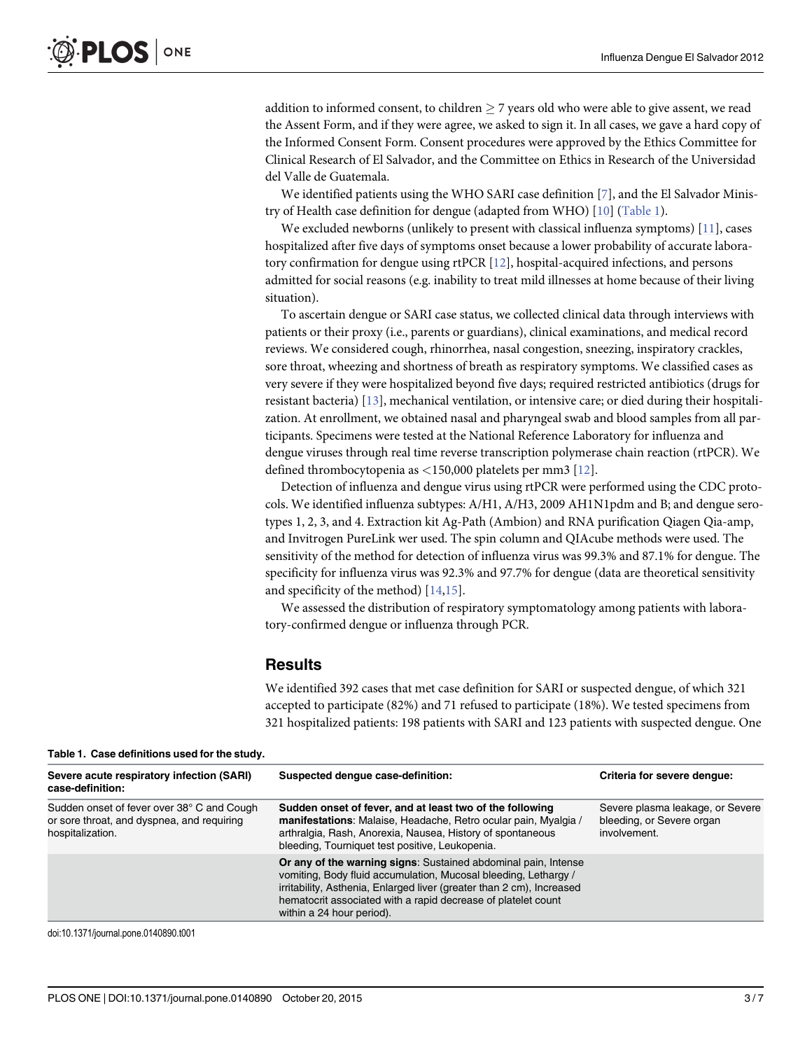<span id="page-2-0"></span>addition to informed consent, to children  $>$  7 years old who were able to give assent, we read the Assent Form, and if they were agree, we asked to sign it. In all cases, we gave a hard copy of the Informed Consent Form. Consent procedures were approved by the Ethics Committee for Clinical Research of El Salvador, and the Committee on Ethics in Research of the Universidad del Valle de Guatemala.

We identified patients using the WHO SARI case definition [[7](#page-6-0)], and the El Salvador Minis-try of Health case definition for dengue (adapted from WHO) [\[10\]](#page-6-0) (Table 1).

We excluded newborns (unlikely to present with classical influenza symptoms) [[11](#page-6-0)], cases hospitalized after five days of symptoms onset because a lower probability of accurate laboratory confirmation for dengue using rtPCR  $[12]$ , hospital-acquired infections, and persons admitted for social reasons (e.g. inability to treat mild illnesses at home because of their living situation).

To ascertain dengue or SARI case status, we collected clinical data through interviews with patients or their proxy (i.e., parents or guardians), clinical examinations, and medical record reviews. We considered cough, rhinorrhea, nasal congestion, sneezing, inspiratory crackles, sore throat, wheezing and shortness of breath as respiratory symptoms. We classified cases as very severe if they were hospitalized beyond five days; required restricted antibiotics (drugs for resistant bacteria) [\[13\]](#page-6-0), mechanical ventilation, or intensive care; or died during their hospitalization. At enrollment, we obtained nasal and pharyngeal swab and blood samples from all participants. Specimens were tested at the National Reference Laboratory for influenza and dengue viruses through real time reverse transcription polymerase chain reaction (rtPCR). We defined thrombocytopenia as <150,000 platelets per mm3 [[12](#page-6-0)].

Detection of influenza and dengue virus using rtPCR were performed using the CDC protocols. We identified influenza subtypes: A/H1, A/H3, 2009 AH1N1pdm and B; and dengue serotypes 1, 2, 3, and 4. Extraction kit Ag-Path (Ambion) and RNA purification Qiagen Qia-amp, and Invitrogen PureLink wer used. The spin column and QIAcube methods were used. The sensitivity of the method for detection of influenza virus was 99.3% and 87.1% for dengue. The specificity for influenza virus was 92.3% and 97.7% for dengue (data are theoretical sensitivity and specificity of the method) [[14,15](#page-6-0)].

We assessed the distribution of respiratory symptomatology among patients with laboratory-confirmed dengue or influenza through PCR.

#### **Results**

We identified 392 cases that met case definition for SARI or suspected dengue, of which 321 accepted to participate (82%) and 71 refused to participate (18%). We tested specimens from 321 hospitalized patients: 198 patients with SARI and 123 patients with suspected dengue. One

| Severe acute respiratory infection (SARI)<br>case-definition:                                                | Suspected dengue case-definition:                                                                                                                                                                                                                                                                        | Criteria for severe denque:                                                   |
|--------------------------------------------------------------------------------------------------------------|----------------------------------------------------------------------------------------------------------------------------------------------------------------------------------------------------------------------------------------------------------------------------------------------------------|-------------------------------------------------------------------------------|
| Sudden onset of fever over 38° C and Cough<br>or sore throat, and dyspnea, and requiring<br>hospitalization. | Sudden onset of fever, and at least two of the following<br>manifestations: Malaise, Headache, Retro ocular pain, Myalgia /<br>arthralgia, Rash, Anorexia, Nausea, History of spontaneous<br>bleeding, Tourniquet test positive, Leukopenia.                                                             | Severe plasma leakage, or Severe<br>bleeding, or Severe organ<br>involvement. |
|                                                                                                              | Or any of the warning signs: Sustained abdominal pain, Intense<br>vomiting, Body fluid accumulation, Mucosal bleeding, Lethargy /<br>irritability, Asthenia, Enlarged liver (greater than 2 cm), Increased<br>hematocrit associated with a rapid decrease of platelet count<br>within a 24 hour period). |                                                                               |

doi:10.1371/journal.pone.0140890.t001

#### Table 1. Case definitions used for the study.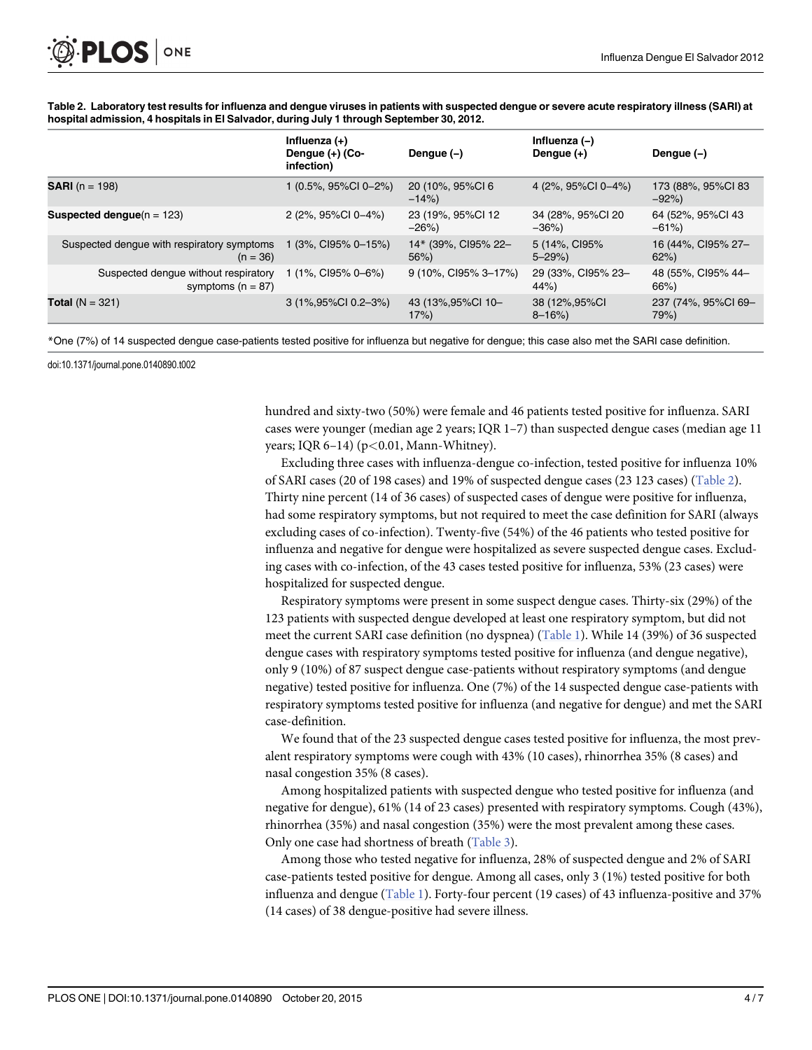<span id="page-3-0"></span>Table 2. Laboratory test results for influenza and dengue viruses in patients with suspected dengue or severe acute respiratory illness (SARI) at

| hospital admission, 4 hospitals in El Salvador, during July 1 through September 30, 2012. |                                                  |                                |                                |                              |  |  |
|-------------------------------------------------------------------------------------------|--------------------------------------------------|--------------------------------|--------------------------------|------------------------------|--|--|
|                                                                                           | Influenza $(+)$<br>Dengue (+) (Co-<br>infection) | Denque $(-)$                   | Influenza (-)<br>Dengue (+)    | Dengue $(-)$                 |  |  |
| <b>SARI</b> ( $n = 198$ )                                                                 | 1 (0.5%, 95%Cl 0-2%)                             | 20 (10%, 95%Cl 6<br>$-14%$     | 4 (2%, 95%CI 0-4%)             | 173 (88%, 95%Cl 83<br>$-92%$ |  |  |
| Suspected denque $(n = 123)$                                                              | 2 (2%, 95%Cl 0-4%)                               | 23 (19%, 95%Cl 12<br>$-26%$    | 34 (28%, 95%Cl 20<br>$-36\%$   | 64 (52%, 95%Cl 43<br>$-61\%$ |  |  |
| Suspected dengue with respiratory symptoms<br>$(n = 36)$                                  | 1 (3%, CI95% 0-15%)                              | 14* (39%, CI95% 22-<br>$56\%)$ | 5 (14%, CI95%<br>$5 - 29\%)$   | 16 (44%, CI95% 27-<br>62%    |  |  |
| Suspected dengue without respiratory<br>symptoms ( $n = 87$ )                             | 1 (1%, CI95% 0-6%)                               | 9 (10%, CI95% 3-17%)           | 29 (33%, CI95% 23-<br>44%      | 48 (55%, CI95% 44-<br>66%)   |  |  |
| <b>Total</b> ( $N = 321$ )                                                                | 3 (1%,95%CI 0.2-3%)                              | 43 (13%, 95% CI 10-<br>17%     | 38 (12%, 95%CI)<br>$8 - 16\%)$ | 237 (74%, 95%Cl 69-<br>79%)  |  |  |

\*One (7%) of 14 suspected dengue case-patients tested positive for influenza but negative for dengue; this case also met the SARI case definition.

doi:10.1371/journal.pone.0140890.t002

hundred and sixty-two (50%) were female and 46 patients tested positive for influenza. SARI cases were younger (median age 2 years; IQR 1–7) than suspected dengue cases (median age 11 years; IQR 6–14) ( $p$ <0.01, Mann-Whitney).

Excluding three cases with influenza-dengue co-infection, tested positive for influenza 10% of SARI cases (20 of 198 cases) and 19% of suspected dengue cases (23 123 cases) (Table 2). Thirty nine percent (14 of 36 cases) of suspected cases of dengue were positive for influenza, had some respiratory symptoms, but not required to meet the case definition for SARI (always excluding cases of co-infection). Twenty-five (54%) of the 46 patients who tested positive for influenza and negative for dengue were hospitalized as severe suspected dengue cases. Excluding cases with co-infection, of the 43 cases tested positive for influenza, 53% (23 cases) were hospitalized for suspected dengue.

Respiratory symptoms were present in some suspect dengue cases. Thirty-six (29%) of the 123 patients with suspected dengue developed at least one respiratory symptom, but did not meet the current SARI case definition (no dyspnea) ([Table 1\)](#page-2-0). While 14 (39%) of 36 suspected dengue cases with respiratory symptoms tested positive for influenza (and dengue negative), only 9 (10%) of 87 suspect dengue case-patients without respiratory symptoms (and dengue negative) tested positive for influenza. One (7%) of the 14 suspected dengue case-patients with respiratory symptoms tested positive for influenza (and negative for dengue) and met the SARI case-definition.

We found that of the 23 suspected dengue cases tested positive for influenza, the most prevalent respiratory symptoms were cough with 43% (10 cases), rhinorrhea 35% (8 cases) and nasal congestion 35% (8 cases).

Among hospitalized patients with suspected dengue who tested positive for influenza (and negative for dengue), 61% (14 of 23 cases) presented with respiratory symptoms. Cough (43%), rhinorrhea (35%) and nasal congestion (35%) were the most prevalent among these cases. Only one case had shortness of breath ([Table 3\)](#page-4-0).

Among those who tested negative for influenza, 28% of suspected dengue and 2% of SARI case-patients tested positive for dengue. Among all cases, only 3 (1%) tested positive for both influenza and dengue ([Table 1\)](#page-2-0). Forty-four percent (19 cases) of 43 influenza-positive and 37% (14 cases) of 38 dengue-positive had severe illness.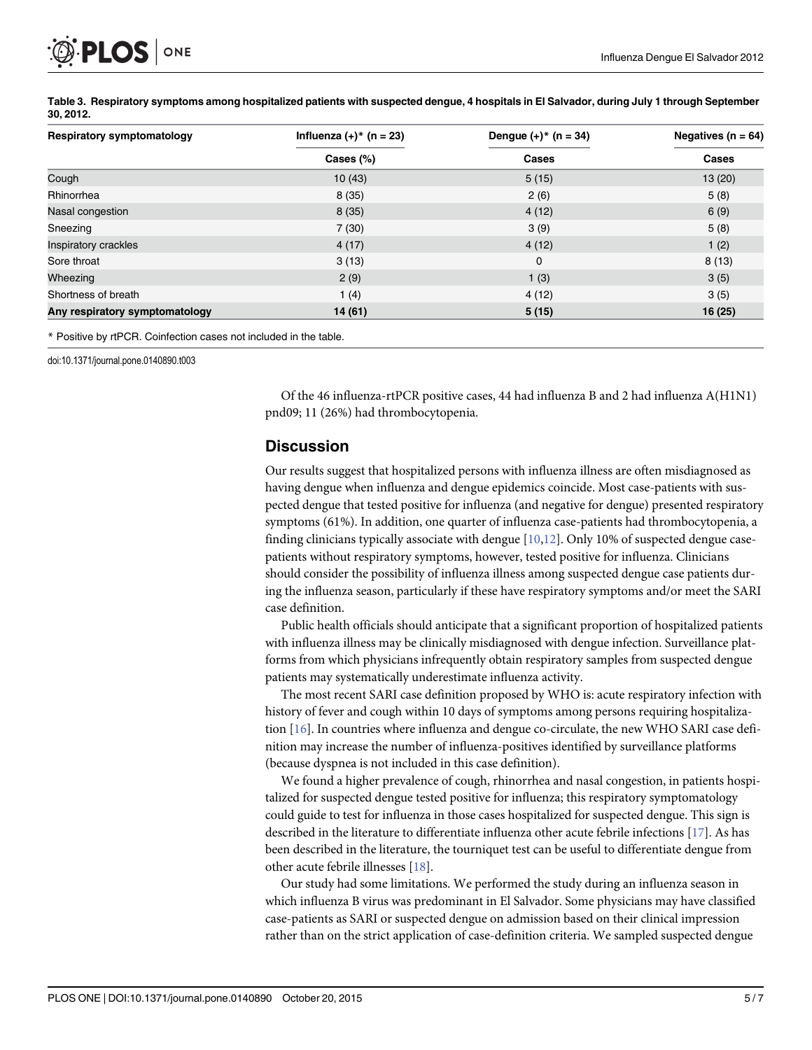<span id="page-4-0"></span>

| Respiratory symptomatology     | Influenza $(+)^*$ (n = 23) | Dengue $(+)^*$ (n = 34) | Negatives ( $n = 64$ )<br>Cases |
|--------------------------------|----------------------------|-------------------------|---------------------------------|
|                                | Cases $(\%)$               | <b>Cases</b>            |                                 |
| Cough                          | 10(43)                     | 5(15)                   | 13(20)                          |
| Rhinorrhea                     | 8(35)                      | 2(6)                    | 5(8)                            |
| Nasal congestion               | 8(35)                      | 4(12)                   | 6(9)                            |
| Sneezing                       | 7(30)                      | 3(9)                    | 5(8)                            |
| Inspiratory crackles           | 4(17)                      | 4(12)                   | 1(2)                            |
| Sore throat                    | 3(13)                      | 0                       | 8(13)                           |
| Wheezing                       | 2(9)                       | 1(3)                    | 3(5)                            |
| Shortness of breath            | 1(4)                       | 4(12)                   | 3(5)                            |
| Any respiratory symptomatology | 14 (61)                    | 5(15)                   | 16 (25)                         |

[Table 3.](#page-3-0) Respiratory symptoms among hospitalized patients with suspected dengue, 4 hospitals in El Salvador, during July 1 through September 30, 2012.

\* Positive by rtPCR. Coinfection cases not included in the table.

doi:10.1371/journal.pone.0140890.t003

Of the 46 influenza-rtPCR positive cases, 44 had influenza B and 2 had influenza A(H1N1) pnd09; 11 (26%) had thrombocytopenia.

#### **Discussion**

Our results suggest that hospitalized persons with influenza illness are often misdiagnosed as having dengue when influenza and dengue epidemics coincide. Most case-patients with suspected dengue that tested positive for influenza (and negative for dengue) presented respiratory symptoms (61%). In addition, one quarter of influenza case-patients had thrombocytopenia, a finding clinicians typically associate with dengue  $[10,12]$  $[10,12]$ . Only 10% of suspected dengue casepatients without respiratory symptoms, however, tested positive for influenza. Clinicians should consider the possibility of influenza illness among suspected dengue case patients during the influenza season, particularly if these have respiratory symptoms and/or meet the SARI case definition.

Public health officials should anticipate that a significant proportion of hospitalized patients with influenza illness may be clinically misdiagnosed with dengue infection. Surveillance platforms from which physicians infrequently obtain respiratory samples from suspected dengue patients may systematically underestimate influenza activity.

The most recent SARI case definition proposed by WHO is: acute respiratory infection with history of fever and cough within 10 days of symptoms among persons requiring hospitalization  $[16]$  $[16]$  $[16]$ . In countries where influenza and dengue co-circulate, the new WHO SARI case definition may increase the number of influenza-positives identified by surveillance platforms (because dyspnea is not included in this case definition).

We found a higher prevalence of cough, rhinorrhea and nasal congestion, in patients hospitalized for suspected dengue tested positive for influenza; this respiratory symptomatology could guide to test for influenza in those cases hospitalized for suspected dengue. This sign is described in the literature to differentiate influenza other acute febrile infections [[17](#page-6-0)]. As has been described in the literature, the tourniquet test can be useful to differentiate dengue from other acute febrile illnesses [[18](#page-6-0)].

Our study had some limitations. We performed the study during an influenza season in which influenza B virus was predominant in El Salvador. Some physicians may have classified case-patients as SARI or suspected dengue on admission based on their clinical impression rather than on the strict application of case-definition criteria. We sampled suspected dengue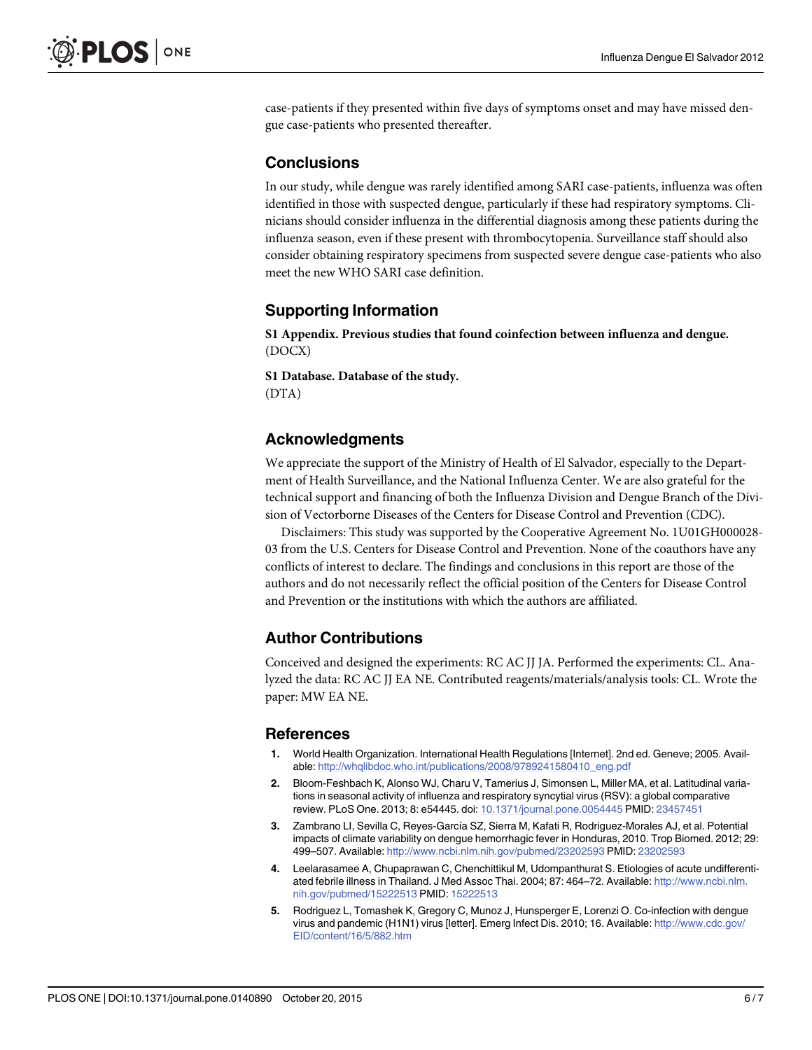<span id="page-5-0"></span>case-patients if they presented within five days of symptoms onset and may have missed dengue case-patients who presented thereafter.

# **Conclusions**

In our study, while dengue was rarely identified among SARI case-patients, influenza was often identified in those with suspected dengue, particularly if these had respiratory symptoms. Clinicians should consider influenza in the differential diagnosis among these patients during the influenza season, even if these present with thrombocytopenia. Surveillance staff should also consider obtaining respiratory specimens from suspected severe dengue case-patients who also meet the new WHO SARI case definition.

# Supporting Information

[S1 Appendix.](http://www.plosone.org/article/fetchSingleRepresentation.action?uri=info:doi/10.1371/journal.pone.0140890.s001) Previous studies that found coinfection between influenza and dengue. (DOCX)

[S1 Database](http://www.plosone.org/article/fetchSingleRepresentation.action?uri=info:doi/10.1371/journal.pone.0140890.s002). Database of the study. (DTA)

### Acknowledgments

We appreciate the support of the Ministry of Health of El Salvador, especially to the Department of Health Surveillance, and the National Influenza Center. We are also grateful for the technical support and financing of both the Influenza Division and Dengue Branch of the Division of Vectorborne Diseases of the Centers for Disease Control and Prevention (CDC).

Disclaimers: This study was supported by the Cooperative Agreement No. 1U01GH000028- 03 from the U.S. Centers for Disease Control and Prevention. None of the coauthors have any conflicts of interest to declare. The findings and conclusions in this report are those of the authors and do not necessarily reflect the official position of the Centers for Disease Control and Prevention or the institutions with which the authors are affiliated.

## Author Contributions

Conceived and designed the experiments: RC AC JJ JA. Performed the experiments: CL. Analyzed the data: RC AC JJ EA NE. Contributed reagents/materials/analysis tools: CL. Wrote the paper: MW EA NE.

#### References

- [1.](#page-0-0) World Health Organization. International Health Regulations [Internet]. 2nd ed. Geneve; 2005. Available: [http://whqlibdoc.who.int/publications/2008/9789241580410\\_eng.pdf](http://whqlibdoc.who.int/publications/2008/9789241580410_eng.pdf)
- [2.](#page-0-0) Bloom-Feshbach K, Alonso WJ, Charu V, Tamerius J, Simonsen L, Miller MA, et al. Latitudinal variations in seasonal activity of influenza and respiratory syncytial virus (RSV): a global comparative review. PLoS One. 2013; 8: e54445. doi: [10.1371/journal.pone.0054445](http://dx.doi.org/10.1371/journal.pone.0054445) PMID: [23457451](http://www.ncbi.nlm.nih.gov/pubmed/23457451)
- [3.](#page-0-0) Zambrano LI, Sevilla C, Reyes-García SZ, Sierra M, Kafati R, Rodriguez-Morales AJ, et al. Potential impacts of climate variability on dengue hemorrhagic fever in Honduras, 2010. Trop Biomed. 2012; 29: 499–507. Available: <http://www.ncbi.nlm.nih.gov/pubmed/23202593> PMID: [23202593](http://www.ncbi.nlm.nih.gov/pubmed/23202593)
- [4.](#page-0-0) Leelarasamee A, Chupaprawan C, Chenchittikul M, Udompanthurat S. Etiologies of acute undifferentiated febrile illness in Thailand. J Med Assoc Thai. 2004; 87: 464-72. Available: [http://www.ncbi.nlm.](http://www.ncbi.nlm.nih.gov/pubmed/15222513) [nih.gov/pubmed/15222513](http://www.ncbi.nlm.nih.gov/pubmed/15222513) PMID: [15222513](http://www.ncbi.nlm.nih.gov/pubmed/15222513)
- [5.](#page-0-0) Rodriguez L, Tomashek K, Gregory C, Munoz J, Hunsperger E, Lorenzi O. Co-infection with dengue virus and pandemic (H1N1) virus [letter]. Emerg Infect Dis. 2010; 16. Available: [http://www.cdc.gov/](http://www.cdc.gov/EID/content/16/5/882.htm) [EID/content/16/5/882.htm](http://www.cdc.gov/EID/content/16/5/882.htm)